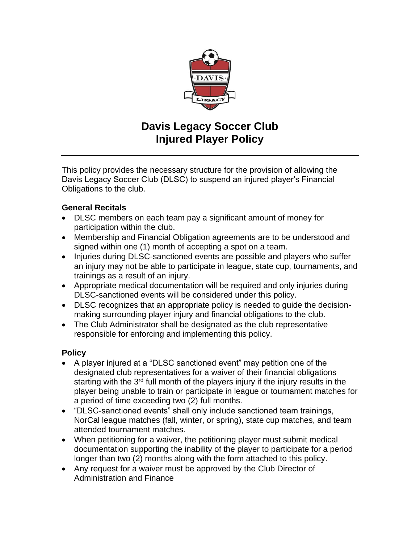

## **Davis Legacy Soccer Club Injured Player Policy**

This policy provides the necessary structure for the provision of allowing the Davis Legacy Soccer Club (DLSC) to suspend an injured player's Financial Obligations to the club.

#### **General Recitals**

- DLSC members on each team pay a significant amount of money for participation within the club.
- Membership and Financial Obligation agreements are to be understood and signed within one (1) month of accepting a spot on a team.
- Injuries during DLSC-sanctioned events are possible and players who suffer an injury may not be able to participate in league, state cup, tournaments, and trainings as a result of an injury.
- Appropriate medical documentation will be required and only injuries during DLSC-sanctioned events will be considered under this policy.
- DLSC recognizes that an appropriate policy is needed to guide the decisionmaking surrounding player injury and financial obligations to the club.
- The Club Administrator shall be designated as the club representative responsible for enforcing and implementing this policy.

### **Policy**

- A player injured at a "DLSC sanctioned event" may petition one of the designated club representatives for a waiver of their financial obligations starting with the  $3<sup>rd</sup>$  full month of the players injury if the injury results in the player being unable to train or participate in league or tournament matches for a period of time exceeding two (2) full months.
- "DLSC-sanctioned events" shall only include sanctioned team trainings, NorCal league matches (fall, winter, or spring), state cup matches, and team attended tournament matches.
- When petitioning for a waiver, the petitioning player must submit medical documentation supporting the inability of the player to participate for a period longer than two (2) months along with the form attached to this policy.
- Any request for a waiver must be approved by the Club Director of Administration and Finance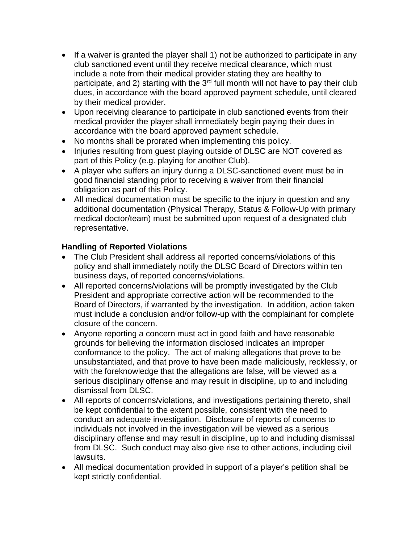- If a waiver is granted the player shall 1) not be authorized to participate in any club sanctioned event until they receive medical clearance, which must include a note from their medical provider stating they are healthy to participate, and 2) starting with the  $3<sup>rd</sup>$  full month will not have to pay their club dues, in accordance with the board approved payment schedule, until cleared by their medical provider.
- Upon receiving clearance to participate in club sanctioned events from their medical provider the player shall immediately begin paying their dues in accordance with the board approved payment schedule.
- No months shall be prorated when implementing this policy.
- Injuries resulting from guest playing outside of DLSC are NOT covered as part of this Policy (e.g. playing for another Club).
- A player who suffers an injury during a DLSC-sanctioned event must be in good financial standing prior to receiving a waiver from their financial obligation as part of this Policy.
- All medical documentation must be specific to the injury in question and any additional documentation (Physical Therapy, Status & Follow-Up with primary medical doctor/team) must be submitted upon request of a designated club representative.

### **Handling of Reported Violations**

- The Club President shall address all reported concerns/violations of this policy and shall immediately notify the DLSC Board of Directors within ten business days, of reported concerns/violations.
- All reported concerns/violations will be promptly investigated by the Club President and appropriate corrective action will be recommended to the Board of Directors, if warranted by the investigation. In addition, action taken must include a conclusion and/or follow-up with the complainant for complete closure of the concern.
- Anyone reporting a concern must act in good faith and have reasonable grounds for believing the information disclosed indicates an improper conformance to the policy. The act of making allegations that prove to be unsubstantiated, and that prove to have been made maliciously, recklessly, or with the foreknowledge that the allegations are false, will be viewed as a serious disciplinary offense and may result in discipline, up to and including dismissal from DLSC.
- All reports of concerns/violations, and investigations pertaining thereto, shall be kept confidential to the extent possible, consistent with the need to conduct an adequate investigation. Disclosure of reports of concerns to individuals not involved in the investigation will be viewed as a serious disciplinary offense and may result in discipline, up to and including dismissal from DLSC. Such conduct may also give rise to other actions, including civil lawsuits.
- All medical documentation provided in support of a player's petition shall be kept strictly confidential.